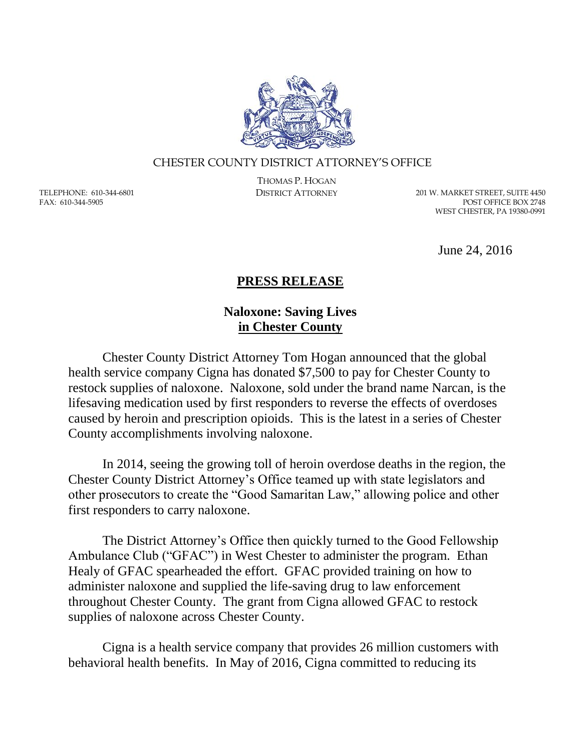

## CHESTER COUNTY DISTRICT ATTORNEY'S OFFICE

TELEPHONE: 610-344-6801 FAX: 610-344-5905

THOMAS P. HOGAN

DISTRICT ATTORNEY 201 W. MARKET STREET, SUITE 4450 POST OFFICE BOX 2748 WEST CHESTER, PA 19380-0991

June 24, 2016

## **PRESS RELEASE**

## **Naloxone: Saving Lives in Chester County**

Chester County District Attorney Tom Hogan announced that the global health service company Cigna has donated \$7,500 to pay for Chester County to restock supplies of naloxone. Naloxone, sold under the brand name Narcan, is the lifesaving medication used by first responders to reverse the effects of overdoses caused by heroin and prescription opioids. This is the latest in a series of Chester County accomplishments involving naloxone.

In 2014, seeing the growing toll of heroin overdose deaths in the region, the Chester County District Attorney's Office teamed up with state legislators and other prosecutors to create the "Good Samaritan Law," allowing police and other first responders to carry naloxone.

The District Attorney's Office then quickly turned to the Good Fellowship Ambulance Club ("GFAC") in West Chester to administer the program. Ethan Healy of GFAC spearheaded the effort. GFAC provided training on how to administer naloxone and supplied the life-saving drug to law enforcement throughout Chester County. The grant from Cigna allowed GFAC to restock supplies of naloxone across Chester County.

Cigna is a health service company that provides 26 million customers with behavioral health benefits. In May of 2016, Cigna committed to reducing its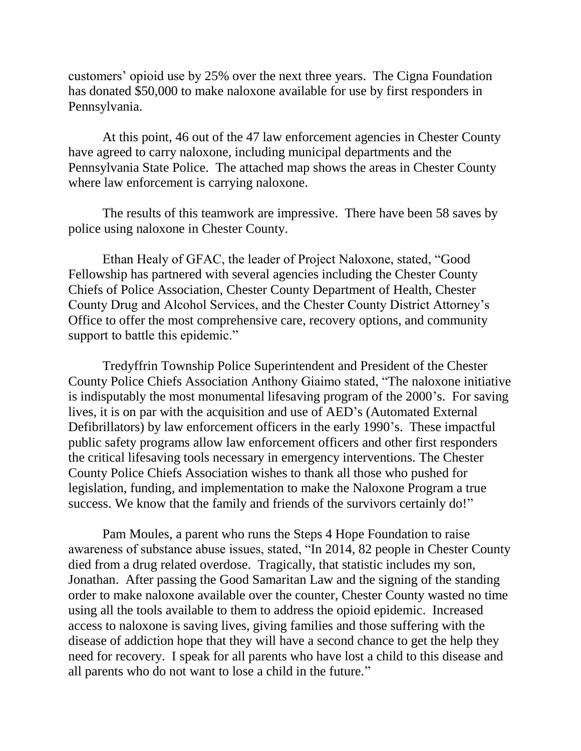customers' opioid use by 25% over the next three years. The Cigna Foundation has donated \$50,000 to make naloxone available for use by first responders in Pennsylvania.

At this point, 46 out of the 47 law enforcement agencies in Chester County have agreed to carry naloxone, including municipal departments and the Pennsylvania State Police. The attached map shows the areas in Chester County where law enforcement is carrying naloxone.

The results of this teamwork are impressive. There have been 58 saves by police using naloxone in Chester County.

Ethan Healy of GFAC, the leader of Project Naloxone, stated, "Good Fellowship has partnered with several agencies including the Chester County Chiefs of Police Association, Chester County Department of Health, Chester County Drug and Alcohol Services, and the Chester County District Attorney's Office to offer the most comprehensive care, recovery options, and community support to battle this epidemic."

Tredyffrin Township Police Superintendent and President of the Chester County Police Chiefs Association Anthony Giaimo stated, "The naloxone initiative is indisputably the most monumental lifesaving program of the 2000's. For saving lives, it is on par with the acquisition and use of AED's (Automated External Defibrillators) by law enforcement officers in the early 1990's. These impactful public safety programs allow law enforcement officers and other first responders the critical lifesaving tools necessary in emergency interventions. The Chester County Police Chiefs Association wishes to thank all those who pushed for legislation, funding, and implementation to make the Naloxone Program a true success. We know that the family and friends of the survivors certainly do!"

Pam Moules, a parent who runs the Steps 4 Hope Foundation to raise awareness of substance abuse issues, stated, "In 2014, 82 people in Chester County died from a drug related overdose. Tragically, that statistic includes my son, Jonathan. After passing the Good Samaritan Law and the signing of the standing order to make naloxone available over the counter, Chester County wasted no time using all the tools available to them to address the opioid epidemic. Increased access to naloxone is saving lives, giving families and those suffering with the disease of addiction hope that they will have a second chance to get the help they need for recovery. I speak for all parents who have lost a child to this disease and all parents who do not want to lose a child in the future."